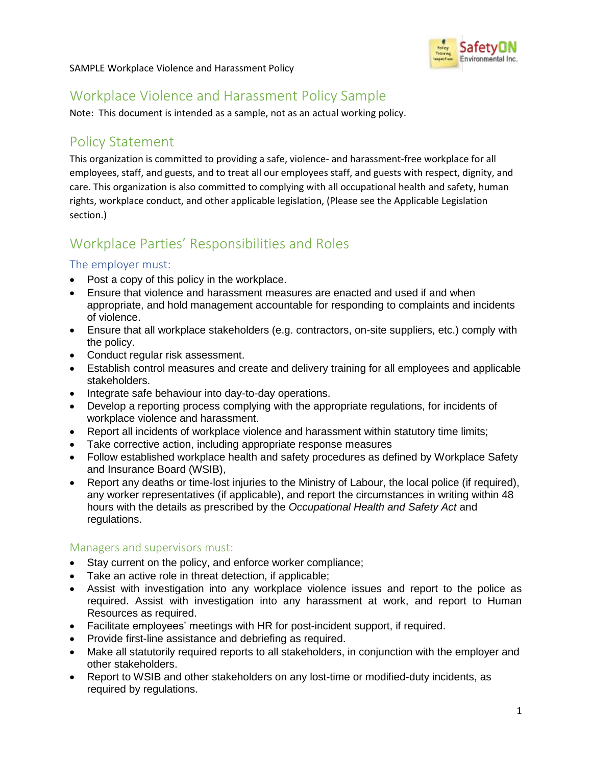

SAMPLE Workplace Violence and Harassment Policy

# Workplace Violence and Harassment Policy Sample

Note: This document is intended as a sample, not as an actual working policy.

### Policy Statement

This organization is committed to providing a safe, violence- and harassment-free workplace for all employees, staff, and guests, and to treat all our employees staff, and guests with respect, dignity, and care. This organization is also committed to complying with all occupational health and safety, human rights, workplace conduct, and other applicable legislation, (Please see the Applicable Legislation section.)

# Workplace Parties' Responsibilities and Roles

#### The employer must:

- Post a copy of this policy in the workplace.
- Ensure that violence and harassment measures are enacted and used if and when appropriate, and hold management accountable for responding to complaints and incidents of violence.
- Ensure that all workplace stakeholders (e.g. contractors, on-site suppliers, etc.) comply with the policy.
- Conduct regular risk assessment.
- Establish control measures and create and delivery training for all employees and applicable stakeholders.
- Integrate safe behaviour into day-to-day operations.
- Develop a reporting process complying with the appropriate regulations, for incidents of workplace violence and harassment.
- Report all incidents of workplace violence and harassment within statutory time limits;
- Take corrective action, including appropriate response measures
- Follow established workplace health and safety procedures as defined by Workplace Safety and Insurance Board (WSIB),
- Report any deaths or time-lost injuries to the Ministry of Labour, the local police (if required), any worker representatives (if applicable), and report the circumstances in writing within 48 hours with the details as prescribed by the *Occupational Health and Safety Act* and regulations.

#### Managers and supervisors must:

- Stay current on the policy, and enforce worker compliance;
- Take an active role in threat detection, if applicable;
- Assist with investigation into any workplace violence issues and report to the police as required. Assist with investigation into any harassment at work, and report to Human Resources as required.
- Facilitate employees' meetings with HR for post-incident support, if required.
- Provide first-line assistance and debriefing as required.
- Make all statutorily required reports to all stakeholders, in conjunction with the employer and other stakeholders.
- Report to WSIB and other stakeholders on any lost-time or modified-duty incidents, as required by regulations.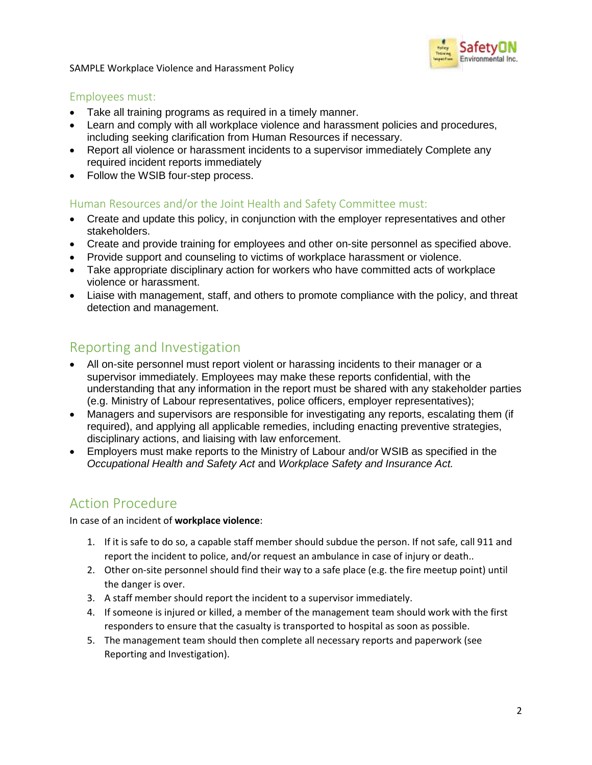

SAMPLE Workplace Violence and Harassment Policy

#### Employees must:

- Take all training programs as required in a timely manner.
- Learn and comply with all workplace violence and harassment policies and procedures, including seeking clarification from Human Resources if necessary.
- Report all violence or harassment incidents to a supervisor immediately Complete any required incident reports immediately
- Follow the WSIB four-step process.

#### Human Resources and/or the Joint Health and Safety Committee must:

- Create and update this policy, in conjunction with the employer representatives and other stakeholders.
- Create and provide training for employees and other on-site personnel as specified above.
- Provide support and counseling to victims of workplace harassment or violence.
- Take appropriate disciplinary action for workers who have committed acts of workplace violence or harassment.
- Liaise with management, staff, and others to promote compliance with the policy, and threat detection and management.

### Reporting and Investigation

- All on-site personnel must report violent or harassing incidents to their manager or a supervisor immediately. Employees may make these reports confidential, with the understanding that any information in the report must be shared with any stakeholder parties (e.g. Ministry of Labour representatives, police officers, employer representatives);
- Managers and supervisors are responsible for investigating any reports, escalating them (if required), and applying all applicable remedies, including enacting preventive strategies, disciplinary actions, and liaising with law enforcement.
- Employers must make reports to the Ministry of Labour and/or WSIB as specified in the *Occupational Health and Safety Act* and *Workplace Safety and Insurance Act.*

# Action Procedure

In case of an incident of **workplace violence**:

- 1. If it is safe to do so, a capable staff member should subdue the person. If not safe, call 911 and report the incident to police, and/or request an ambulance in case of injury or death..
- 2. Other on-site personnel should find their way to a safe place (e.g. the fire meetup point) until the danger is over.
- 3. A staff member should report the incident to a supervisor immediately.
- 4. If someone is injured or killed, a member of the management team should work with the first responders to ensure that the casualty is transported to hospital as soon as possible.
- 5. The management team should then complete all necessary reports and paperwork (see Reporting and Investigation).